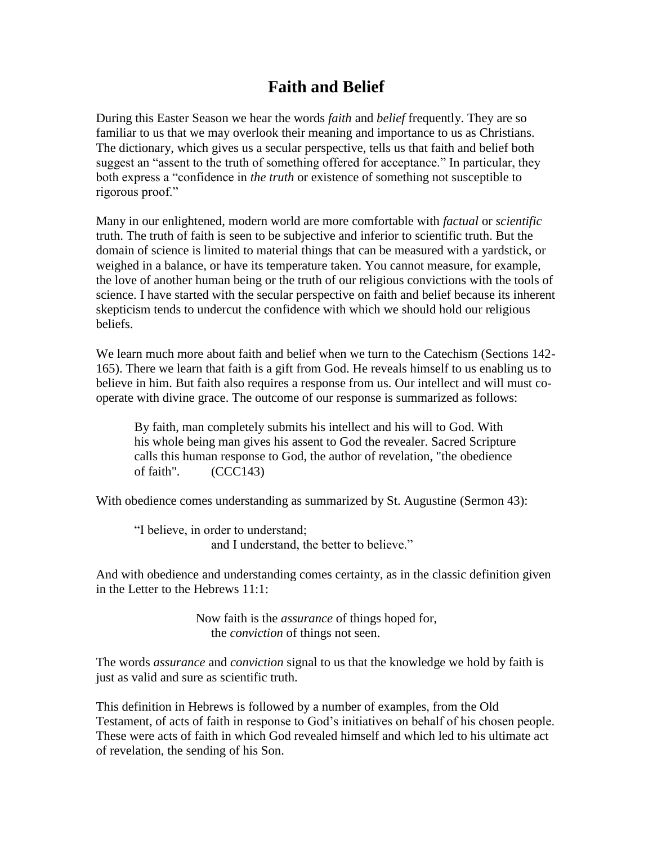## **Faith and Belief**

During this Easter Season we hear the words *faith* and *belief* frequently. They are so familiar to us that we may overlook their meaning and importance to us as Christians. The dictionary, which gives us a secular perspective, tells us that faith and belief both suggest an "assent to the truth of something offered for acceptance." In particular, they both express a "confidence in *the truth* or existence of something not susceptible to rigorous proof."

Many in our enlightened, modern world are more comfortable with *factual* or *scientific* truth. The truth of faith is seen to be subjective and inferior to scientific truth. But the domain of science is limited to material things that can be measured with a yardstick, or weighed in a balance, or have its temperature taken. You cannot measure, for example, the love of another human being or the truth of our religious convictions with the tools of science. I have started with the secular perspective on faith and belief because its inherent skepticism tends to undercut the confidence with which we should hold our religious beliefs.

We learn much more about faith and belief when we turn to the Catechism (Sections 142- 165). There we learn that faith is a gift from God. He reveals himself to us enabling us to believe in him. But faith also requires a response from us. Our intellect and will must cooperate with divine grace. The outcome of our response is summarized as follows:

By faith, man completely submits his intellect and his will to God. With his whole being man gives his assent to God the revealer. Sacred Scripture calls this human response to God, the author of revelation, "the obedience of faith". (CCC143)

With obedience comes understanding as summarized by St. Augustine (Sermon 43):

"I believe, in order to understand; and I understand, the better to believe."

And with obedience and understanding comes certainty, as in the classic definition given in the Letter to the Hebrews 11:1:

> Now faith is the *assurance* of things hoped for, the *conviction* of things not seen.

The words *assurance* and *conviction* signal to us that the knowledge we hold by faith is just as valid and sure as scientific truth.

This definition in Hebrews is followed by a number of examples, from the Old Testament, of acts of faith in response to God's initiatives on behalf of his chosen people. These were acts of faith in which God revealed himself and which led to his ultimate act of revelation, the sending of his Son.